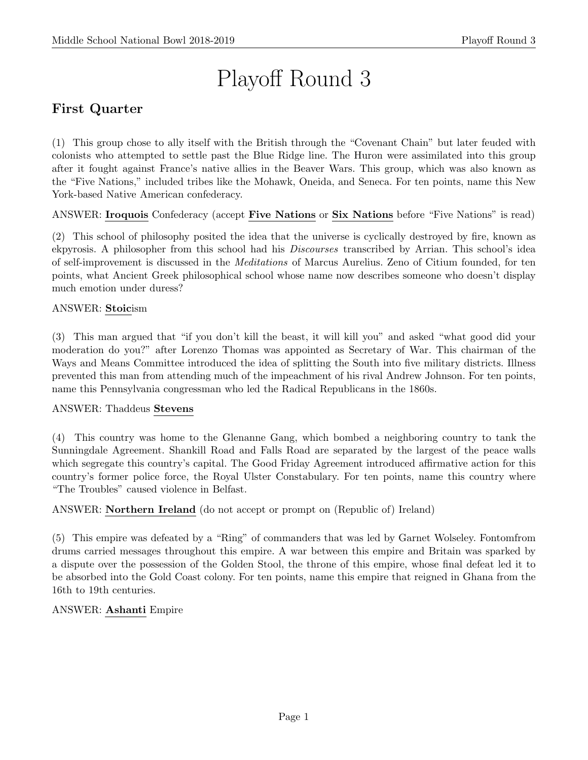# Playoff Round 3

# First Quarter

(1) This group chose to ally itself with the British through the "Covenant Chain" but later feuded with colonists who attempted to settle past the Blue Ridge line. The Huron were assimilated into this group after it fought against France's native allies in the Beaver Wars. This group, which was also known as the "Five Nations," included tribes like the Mohawk, Oneida, and Seneca. For ten points, name this New York-based Native American confederacy.

ANSWER: Iroquois Confederacy (accept Five Nations or Six Nations before "Five Nations" is read)

(2) This school of philosophy posited the idea that the universe is cyclically destroyed by fire, known as ekpyrosis. A philosopher from this school had his Discourses transcribed by Arrian. This school's idea of self-improvement is discussed in the Meditations of Marcus Aurelius. Zeno of Citium founded, for ten points, what Ancient Greek philosophical school whose name now describes someone who doesn't display much emotion under duress?

# ANSWER: Stoicism

(3) This man argued that "if you don't kill the beast, it will kill you" and asked "what good did your moderation do you?" after Lorenzo Thomas was appointed as Secretary of War. This chairman of the Ways and Means Committee introduced the idea of splitting the South into five military districts. Illness prevented this man from attending much of the impeachment of his rival Andrew Johnson. For ten points, name this Pennsylvania congressman who led the Radical Republicans in the 1860s.

## ANSWER: Thaddeus Stevens

(4) This country was home to the Glenanne Gang, which bombed a neighboring country to tank the Sunningdale Agreement. Shankill Road and Falls Road are separated by the largest of the peace walls which segregate this country's capital. The Good Friday Agreement introduced affirmative action for this country's former police force, the Royal Ulster Constabulary. For ten points, name this country where "The Troubles" caused violence in Belfast.

## ANSWER: Northern Ireland (do not accept or prompt on (Republic of) Ireland)

(5) This empire was defeated by a "Ring" of commanders that was led by Garnet Wolseley. Fontomfrom drums carried messages throughout this empire. A war between this empire and Britain was sparked by a dispute over the possession of the Golden Stool, the throne of this empire, whose final defeat led it to be absorbed into the Gold Coast colony. For ten points, name this empire that reigned in Ghana from the 16th to 19th centuries.

## ANSWER: Ashanti Empire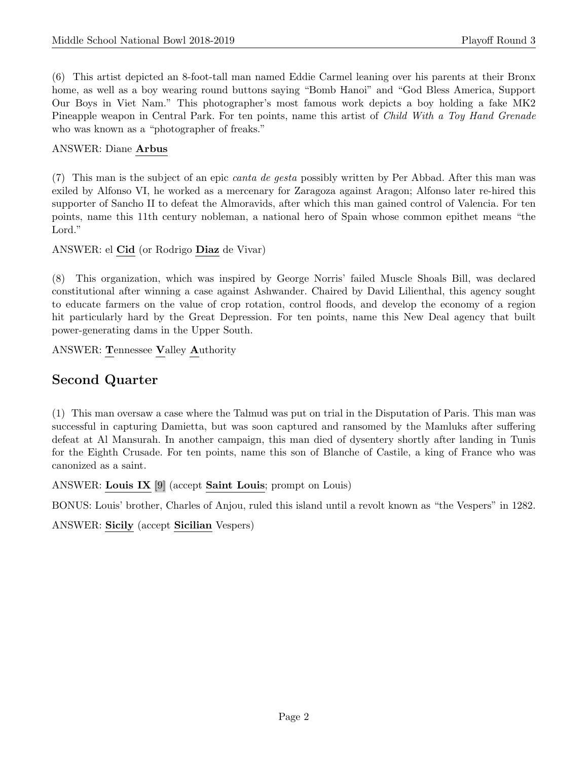(6) This artist depicted an 8-foot-tall man named Eddie Carmel leaning over his parents at their Bronx home, as well as a boy wearing round buttons saying "Bomb Hanoi" and "God Bless America, Support Our Boys in Viet Nam." This photographer's most famous work depicts a boy holding a fake MK2 Pineapple weapon in Central Park. For ten points, name this artist of Child With a Toy Hand Grenade who was known as a "photographer of freaks."

## ANSWER: Diane Arbus

(7) This man is the subject of an epic canta de gesta possibly written by Per Abbad. After this man was exiled by Alfonso VI, he worked as a mercenary for Zaragoza against Aragon; Alfonso later re-hired this supporter of Sancho II to defeat the Almoravids, after which this man gained control of Valencia. For ten points, name this 11th century nobleman, a national hero of Spain whose common epithet means "the Lord."

ANSWER: el Cid (or Rodrigo Diaz de Vivar)

(8) This organization, which was inspired by George Norris' failed Muscle Shoals Bill, was declared constitutional after winning a case against Ashwander. Chaired by David Lilienthal, this agency sought to educate farmers on the value of crop rotation, control floods, and develop the economy of a region hit particularly hard by the Great Depression. For ten points, name this New Deal agency that built power-generating dams in the Upper South.

ANSWER: Tennessee Valley Authority

# Second Quarter

(1) This man oversaw a case where the Talmud was put on trial in the Disputation of Paris. This man was successful in capturing Damietta, but was soon captured and ransomed by the Mamluks after suffering defeat at Al Mansurah. In another campaign, this man died of dysentery shortly after landing in Tunis for the Eighth Crusade. For ten points, name this son of Blanche of Castile, a king of France who was canonized as a saint.

ANSWER: Louis IX [9] (accept Saint Louis; prompt on Louis)

BONUS: Louis' brother, Charles of Anjou, ruled this island until a revolt known as "the Vespers" in 1282.

ANSWER: Sicily (accept Sicilian Vespers)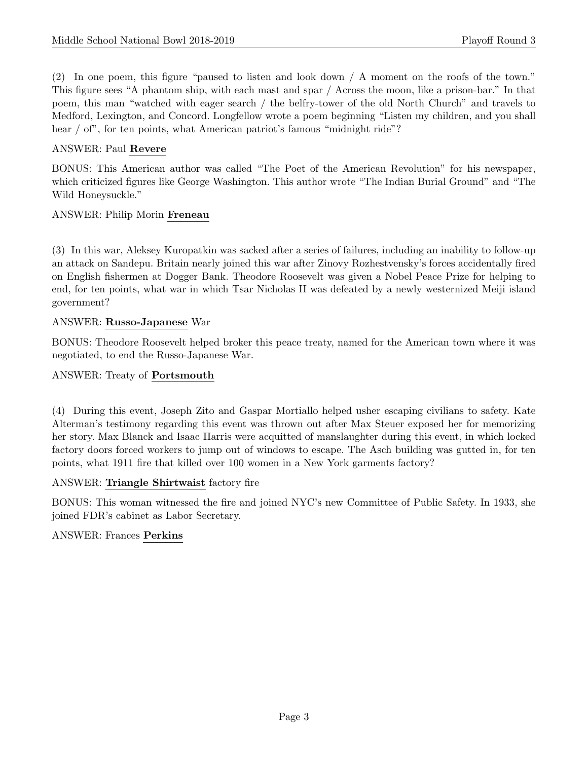(2) In one poem, this figure "paused to listen and look down / A moment on the roofs of the town." This figure sees "A phantom ship, with each mast and spar / Across the moon, like a prison-bar." In that poem, this man "watched with eager search / the belfry-tower of the old North Church" and travels to Medford, Lexington, and Concord. Longfellow wrote a poem beginning "Listen my children, and you shall hear / of", for ten points, what American patriot's famous "midnight ride"?

# ANSWER: Paul Revere

BONUS: This American author was called "The Poet of the American Revolution" for his newspaper, which criticized figures like George Washington. This author wrote "The Indian Burial Ground" and "The Wild Honeysuckle."

## ANSWER: Philip Morin Freneau

(3) In this war, Aleksey Kuropatkin was sacked after a series of failures, including an inability to follow-up an attack on Sandepu. Britain nearly joined this war after Zinovy Rozhestvensky's forces accidentally fired on English fishermen at Dogger Bank. Theodore Roosevelt was given a Nobel Peace Prize for helping to end, for ten points, what war in which Tsar Nicholas II was defeated by a newly westernized Meiji island government?

## ANSWER: Russo-Japanese War

BONUS: Theodore Roosevelt helped broker this peace treaty, named for the American town where it was negotiated, to end the Russo-Japanese War.

# ANSWER: Treaty of Portsmouth

(4) During this event, Joseph Zito and Gaspar Mortiallo helped usher escaping civilians to safety. Kate Alterman's testimony regarding this event was thrown out after Max Steuer exposed her for memorizing her story. Max Blanck and Isaac Harris were acquitted of manslaughter during this event, in which locked factory doors forced workers to jump out of windows to escape. The Asch building was gutted in, for ten points, what 1911 fire that killed over 100 women in a New York garments factory?

## ANSWER: Triangle Shirtwaist factory fire

BONUS: This woman witnessed the fire and joined NYC's new Committee of Public Safety. In 1933, she joined FDR's cabinet as Labor Secretary.

## ANSWER: Frances Perkins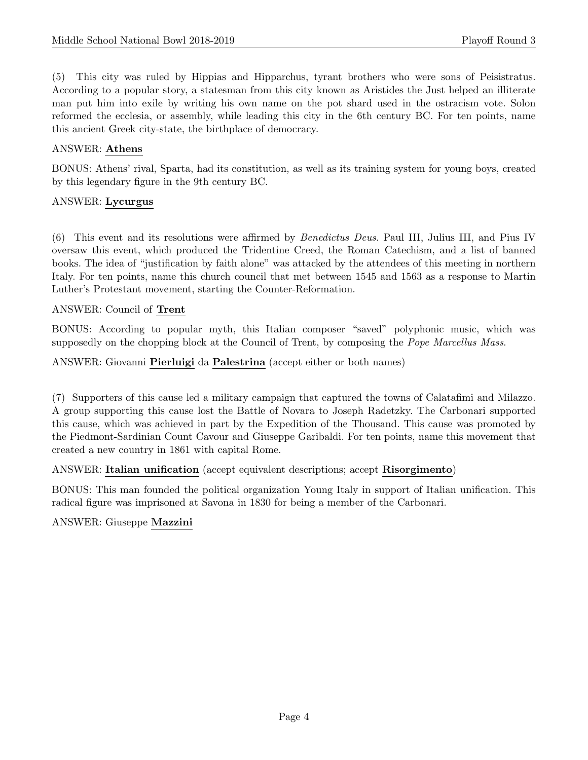(5) This city was ruled by Hippias and Hipparchus, tyrant brothers who were sons of Peisistratus. According to a popular story, a statesman from this city known as Aristides the Just helped an illiterate man put him into exile by writing his own name on the pot shard used in the ostracism vote. Solon reformed the ecclesia, or assembly, while leading this city in the 6th century BC. For ten points, name this ancient Greek city-state, the birthplace of democracy.

## ANSWER: Athens

BONUS: Athens' rival, Sparta, had its constitution, as well as its training system for young boys, created by this legendary figure in the 9th century BC.

# ANSWER: Lycurgus

(6) This event and its resolutions were affirmed by Benedictus Deus. Paul III, Julius III, and Pius IV oversaw this event, which produced the Tridentine Creed, the Roman Catechism, and a list of banned books. The idea of "justification by faith alone" was attacked by the attendees of this meeting in northern Italy. For ten points, name this church council that met between 1545 and 1563 as a response to Martin Luther's Protestant movement, starting the Counter-Reformation.

# ANSWER: Council of Trent

BONUS: According to popular myth, this Italian composer "saved" polyphonic music, which was supposedly on the chopping block at the Council of Trent, by composing the *Pope Marcellus Mass.* 

ANSWER: Giovanni Pierluigi da Palestrina (accept either or both names)

(7) Supporters of this cause led a military campaign that captured the towns of Calatafimi and Milazzo. A group supporting this cause lost the Battle of Novara to Joseph Radetzky. The Carbonari supported this cause, which was achieved in part by the Expedition of the Thousand. This cause was promoted by the Piedmont-Sardinian Count Cavour and Giuseppe Garibaldi. For ten points, name this movement that created a new country in 1861 with capital Rome.

## ANSWER: Italian unification (accept equivalent descriptions; accept Risorgimento)

BONUS: This man founded the political organization Young Italy in support of Italian unification. This radical figure was imprisoned at Savona in 1830 for being a member of the Carbonari.

ANSWER: Giuseppe Mazzini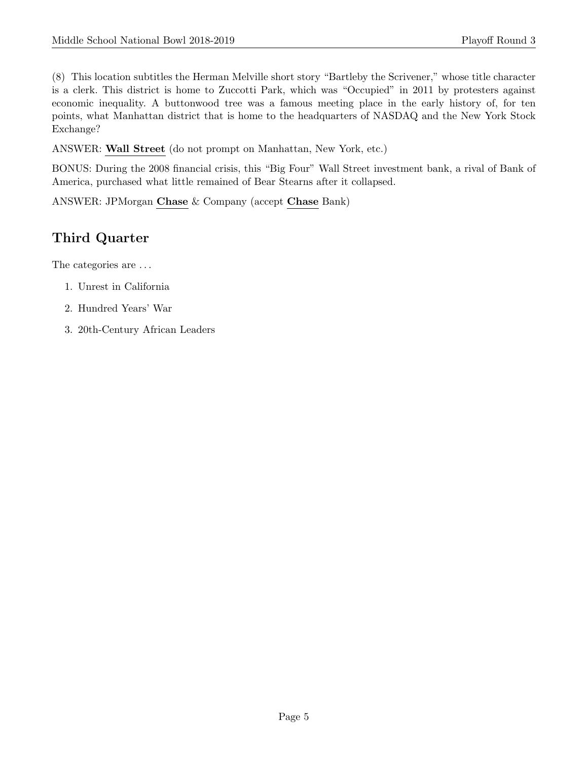(8) This location subtitles the Herman Melville short story "Bartleby the Scrivener," whose title character is a clerk. This district is home to Zuccotti Park, which was "Occupied" in 2011 by protesters against economic inequality. A buttonwood tree was a famous meeting place in the early history of, for ten points, what Manhattan district that is home to the headquarters of NASDAQ and the New York Stock Exchange?

ANSWER: Wall Street (do not prompt on Manhattan, New York, etc.)

BONUS: During the 2008 financial crisis, this "Big Four" Wall Street investment bank, a rival of Bank of America, purchased what little remained of Bear Stearns after it collapsed.

ANSWER: JPMorgan Chase & Company (accept Chase Bank)

# Third Quarter

The categories are ...

- 1. Unrest in California
- 2. Hundred Years' War
- 3. 20th-Century African Leaders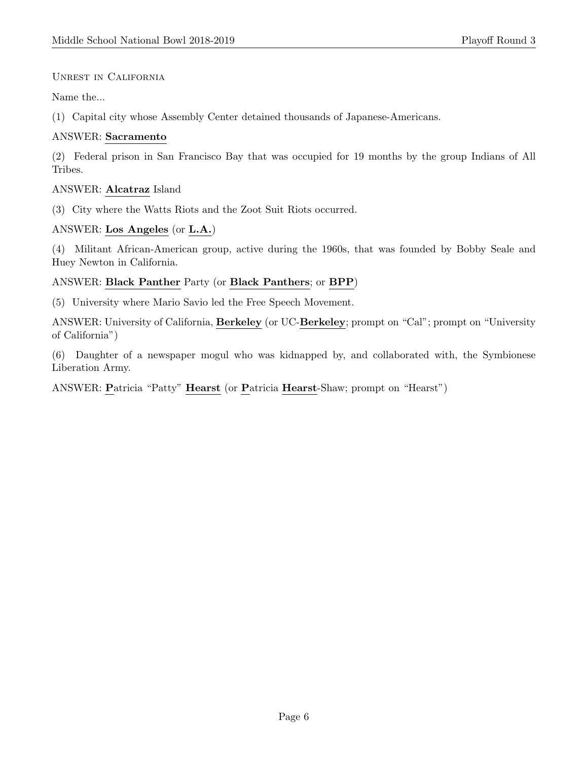# Unrest in California

Name the...

(1) Capital city whose Assembly Center detained thousands of Japanese-Americans.

# ANSWER: Sacramento

(2) Federal prison in San Francisco Bay that was occupied for 19 months by the group Indians of All Tribes.

# ANSWER: Alcatraz Island

(3) City where the Watts Riots and the Zoot Suit Riots occurred.

# ANSWER: Los Angeles (or L.A.)

(4) Militant African-American group, active during the 1960s, that was founded by Bobby Seale and Huey Newton in California.

# ANSWER: Black Panther Party (or Black Panthers; or BPP)

(5) University where Mario Savio led the Free Speech Movement.

ANSWER: University of California, Berkeley (or UC-Berkeley; prompt on "Cal"; prompt on "University of California")

(6) Daughter of a newspaper mogul who was kidnapped by, and collaborated with, the Symbionese Liberation Army.

ANSWER: Patricia "Patty" Hearst (or Patricia Hearst-Shaw; prompt on "Hearst")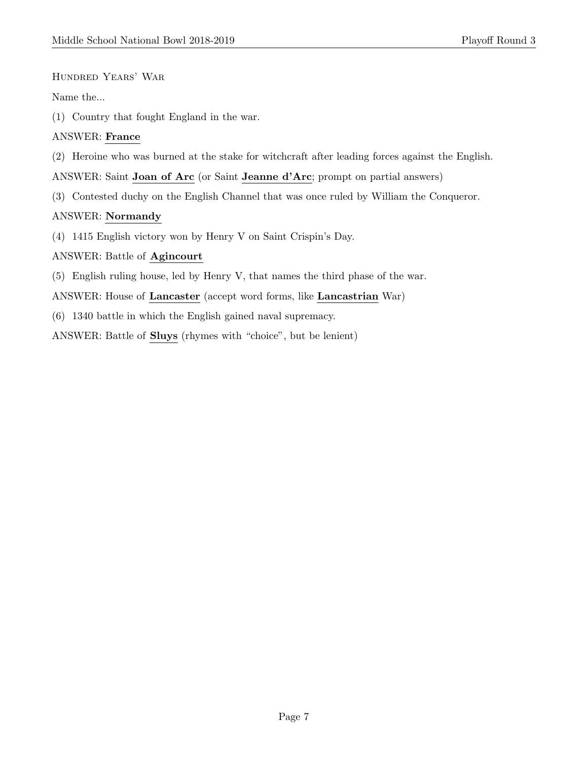#### Hundred Years' War

#### Name the...

(1) Country that fought England in the war.

# ANSWER: France

(2) Heroine who was burned at the stake for witchcraft after leading forces against the English.

ANSWER: Saint Joan of Arc (or Saint Jeanne d'Arc; prompt on partial answers)

(3) Contested duchy on the English Channel that was once ruled by William the Conqueror.

## ANSWER: Normandy

(4) 1415 English victory won by Henry V on Saint Crispin's Day.

## ANSWER: Battle of Agincourt

- (5) English ruling house, led by Henry V, that names the third phase of the war.
- ANSWER: House of Lancaster (accept word forms, like Lancastrian War)
- (6) 1340 battle in which the English gained naval supremacy.

ANSWER: Battle of Sluys (rhymes with "choice", but be lenient)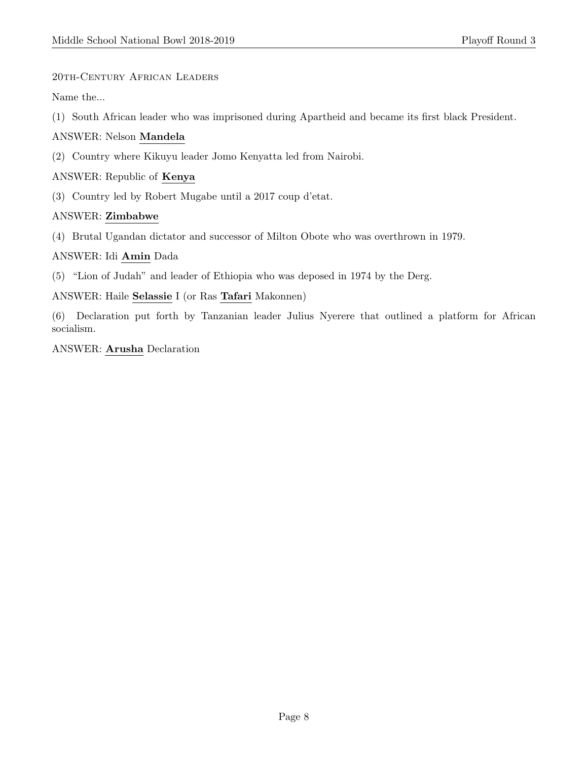# 20th-Century African Leaders

Name the...

(1) South African leader who was imprisoned during Apartheid and became its first black President.

# ANSWER: Nelson Mandela

(2) Country where Kikuyu leader Jomo Kenyatta led from Nairobi.

# ANSWER: Republic of Kenya

(3) Country led by Robert Mugabe until a 2017 coup d'etat.

# ANSWER: Zimbabwe

(4) Brutal Ugandan dictator and successor of Milton Obote who was overthrown in 1979.

## ANSWER: Idi Amin Dada

(5) "Lion of Judah" and leader of Ethiopia who was deposed in 1974 by the Derg.

## ANSWER: Haile Selassie I (or Ras Tafari Makonnen)

(6) Declaration put forth by Tanzanian leader Julius Nyerere that outlined a platform for African socialism.

## ANSWER: Arusha Declaration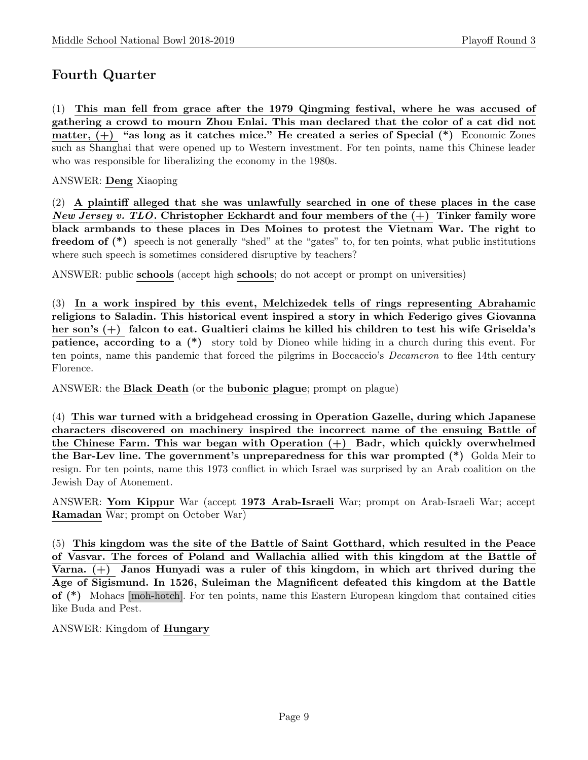# Fourth Quarter

(1) This man fell from grace after the 1979 Qingming festival, where he was accused of gathering a crowd to mourn Zhou Enlai. This man declared that the color of a cat did not matter,  $(+)$  "as long as it catches mice." He created a series of Special  $(*)$  Economic Zones such as Shanghai that were opened up to Western investment. For ten points, name this Chinese leader who was responsible for liberalizing the economy in the 1980s.

# ANSWER: Deng Xiaoping

(2) A plaintiff alleged that she was unlawfully searched in one of these places in the case New Jersey v. TLO. Christopher Eckhardt and four members of the  $(+)$  Tinker family wore black armbands to these places in Des Moines to protest the Vietnam War. The right to freedom of (\*) speech is not generally "shed" at the "gates" to, for ten points, what public institutions where such speech is sometimes considered disruptive by teachers?

ANSWER: public schools (accept high schools; do not accept or prompt on universities)

(3) In a work inspired by this event, Melchizedek tells of rings representing Abrahamic religions to Saladin. This historical event inspired a story in which Federigo gives Giovanna her son's (+) falcon to eat. Gualtieri claims he killed his children to test his wife Griselda's patience, according to a (\*) story told by Dioneo while hiding in a church during this event. For ten points, name this pandemic that forced the pilgrims in Boccaccio's *Decameron* to flee 14th century Florence.

ANSWER: the Black Death (or the bubonic plague; prompt on plague)

(4) This war turned with a bridgehead crossing in Operation Gazelle, during which Japanese characters discovered on machinery inspired the incorrect name of the ensuing Battle of the Chinese Farm. This war began with Operation  $(+)$  Badr, which quickly overwhelmed the Bar-Lev line. The government's unpreparedness for this war prompted (\*) Golda Meir to resign. For ten points, name this 1973 conflict in which Israel was surprised by an Arab coalition on the Jewish Day of Atonement.

ANSWER: Yom Kippur War (accept 1973 Arab-Israeli War; prompt on Arab-Israeli War; accept Ramadan War; prompt on October War)

(5) This kingdom was the site of the Battle of Saint Gotthard, which resulted in the Peace of Vasvar. The forces of Poland and Wallachia allied with this kingdom at the Battle of Varna. (+) Janos Hunyadi was a ruler of this kingdom, in which art thrived during the Age of Sigismund. In 1526, Suleiman the Magnificent defeated this kingdom at the Battle of (\*) Mohacs [moh-hotch]. For ten points, name this Eastern European kingdom that contained cities like Buda and Pest.

ANSWER: Kingdom of Hungary